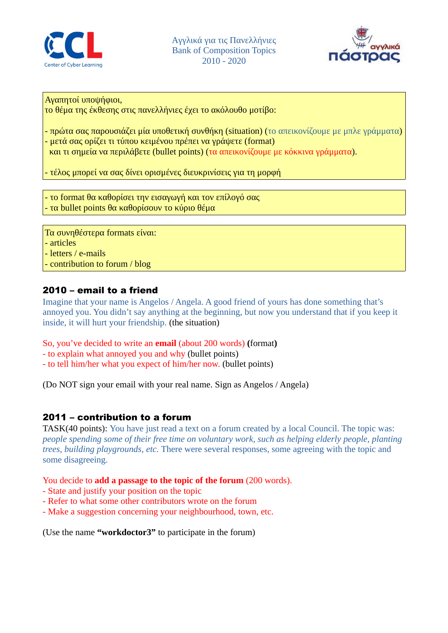



Αγαπητοί υποψήφιοι,

το θέμα της έκθεσης στις πανελλήνιες έχει το ακόλουθο μοτίβο:

- πρώτα σας παρουσιάζει μία υποθετική συνθήκη (situation) (το απεικονίζουμε με μπλε γράμματα) - μετά σας ορίζει τι τύπου κειμένου πρέπει να γράψετε (format) και τι σημεία να περιλάβετε (bullet points) (τα απεικονίζουμε με κόκκινα γράμματα).

- τέλος μπορεί να σας δίνει ορισμένες διευκρινίσεις για τη μορφή

- το format θα καθορίσει την εισαγωγή και τον επίλογό σας

- τα bullet points θα καθορίσουν το κύριο θέμα

Τα συνηθέστερα formats είναι: - articles - letters / e-mails - contribution to forum / blog

# 2010 – email to a friend

Imagine that your name is Angelos / Angela. A good friend of yours has done something that's annoyed you. You didn't say anything at the beginning, but now you understand that if you keep it inside, it will hurt your friendship. (the situation)

So, you've decided to write an **email** (about 200 words) **(**format**)**

- to explain what annoyed you and why (bullet points)
- to tell him/her what you expect of him/her now. (bullet points)

(Do NOT sign your email with your real name. Sign as Angelos / Angela)

## 2011 – contribution to a forum

TASK(40 points): You have just read a text on a forum created by a local Council. The topic was: *people spending some of their free time on voluntary work, such as helping elderly people, planting trees, building playgrounds, etc.* There were several responses, some agreeing with the topic and some disagreeing.

You decide to **add a passage to the topic of the forum** (200 words).

- State and justify your position on the topic
- Refer to what some other contributors wrote on the forum
- Make a suggestion concerning your neighbourhood, town, etc.

(Use the name **"workdoctor3"** to participate in the forum)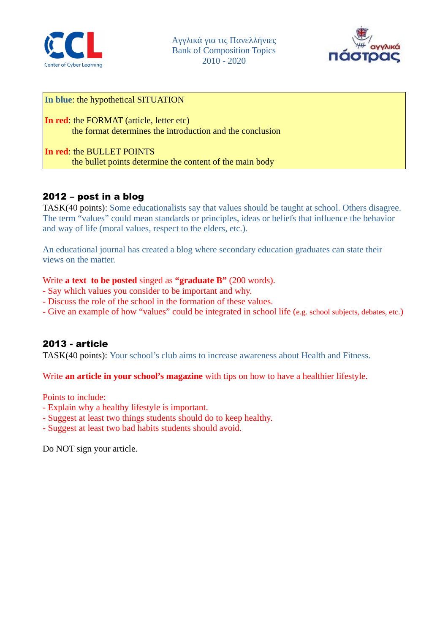

Aγγλικά για τις Πανελλήνιες Bank of Composition Topics 2010 - 2020



#### **In blue**: the hypothetical SITUATION

**In red**: the FORMAT (article, letter etc) the format determines the introduction and the conclusion

**In red**: the BULLET POINTS the bullet points determine the content of the main body

## 2012 – post in a blog

TASK(40 points): Some educationalists say that values should be taught at school. Others disagree. The term "values" could mean standards or principles, ideas or beliefs that influence the behavior and way of life (moral values, respect to the elders, etc.).

An educational journal has created a blog where secondary education graduates can state their views on the matter.

#### Write **a text to be posted** singed as **"graduate B"** (200 words).

- Say which values you consider to be important and why.
- Discuss the role of the school in the formation of these values.
- Give an example of how "values" could be integrated in school life (e.g. school subjects, debates, etc.)

#### 2013 - article

TASK(40 points): Your school's club aims to increase awareness about Health and Fitness.

Write **an article in your school's magazine** with tips on how to have a healthier lifestyle.

Points to include:

- Explain why a healthy lifestyle is important.
- Suggest at least two things students should do to keep healthy.
- Suggest at least two bad habits students should avoid.

Do NOT sign your article.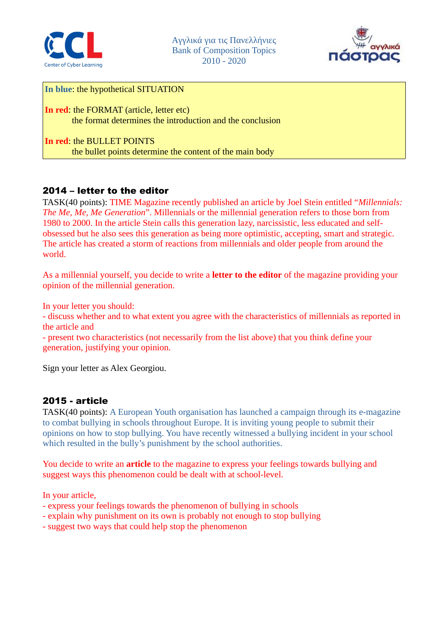



**In blue**: the hypothetical SITUATION

**In red**: the FORMAT (article, letter etc) the format determines the introduction and the conclusion

**In red**: the BULLET POINTS the bullet points determine the content of the main body

## 2014 – letter to the editor

TASK(40 points): TIME Magazine recently published an article by Joel Stein entitled "*Millennials: The Me, Me, Me Generation*". Millennials or the millennial generation refers to those born from 1980 to 2000. In the article Stein calls this generation lazy, narcissistic, less educated and selfobsessed but he also sees this generation as being more optimistic, accepting, smart and strategic. The article has created a storm of reactions from millennials and older people from around the world.

As a millennial yourself, you decide to write a **letter to the editor** of the magazine providing your opinion of the millennial generation.

In your letter you should:

- discuss whether and to what extent you agree with the characteristics of millennials as reported in the article and

- present two characteristics (not necessarily from the list above) that you think define your generation, justifying your opinion.

Sign your letter as Alex Georgiou.

## 2015 - article

TASK(40 points): A European Youth organisation has launched a campaign through its e-magazine to combat bullying in schools throughout Europe. It is inviting young people to submit their opinions on how to stop bullying. You have recently witnessed a bullying incident in your school which resulted in the bully's punishment by the school authorities.

You decide to write an **article** to the magazine to express your feelings towards bullying and suggest ways this phenomenon could be dealt with at school-level.

In your article,

- express your feelings towards the phenomenon of bullying in schools
- explain why punishment on its own is probably not enough to stop bullying
- suggest two ways that could help stop the phenomenon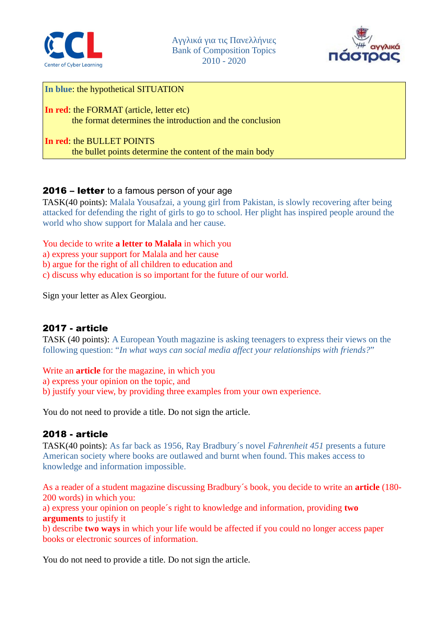



**In blue**: the hypothetical SITUATION

**In red**: the FORMAT (article, letter etc) the format determines the introduction and the conclusion

**In red**: the BULLET POINTS the bullet points determine the content of the main body

## 2016 – letter to a famous person of your age

TASK(40 points): Malala Yousafzai, a young girl from Pakistan, is slowly recovering after being attacked for defending the right of girls to go to school. Her plight has inspired people around the world who show support for Malala and her cause.

You decide to write **a letter to Malala** in which you

a) express your support for Malala and her cause

b) argue for the right of all children to education and

c) discuss why education is so important for the future of our world.

Sign your letter as Alex Georgiou.

#### 2017 - article

TASK (40 points): A European Youth magazine is asking teenagers to express their views on the following question: "*In what ways can social media affect your relationships with friends?*"

Write an **article** for the magazine, in which you

a) express your opinion on the topic, and

b) justify your view, by providing three examples from your own experience.

You do not need to provide a title. Do not sign the article.

#### 2018 - article

TASK(40 points): As far back as 1956, Ray Bradbury´s novel *Fahrenheit 451* presents a future American society where books are outlawed and burnt when found. This makes access to knowledge and information impossible.

As a reader of a student magazine discussing Bradbury´s book, you decide to write an **article** (180- 200 words) in which you:

a) express your opinion on people´s right to knowledge and information, providing **two arguments** to justify it

b) describe **two ways** in which your life would be affected if you could no longer access paper books or electronic sources of information.

You do not need to provide a title. Do not sign the article.